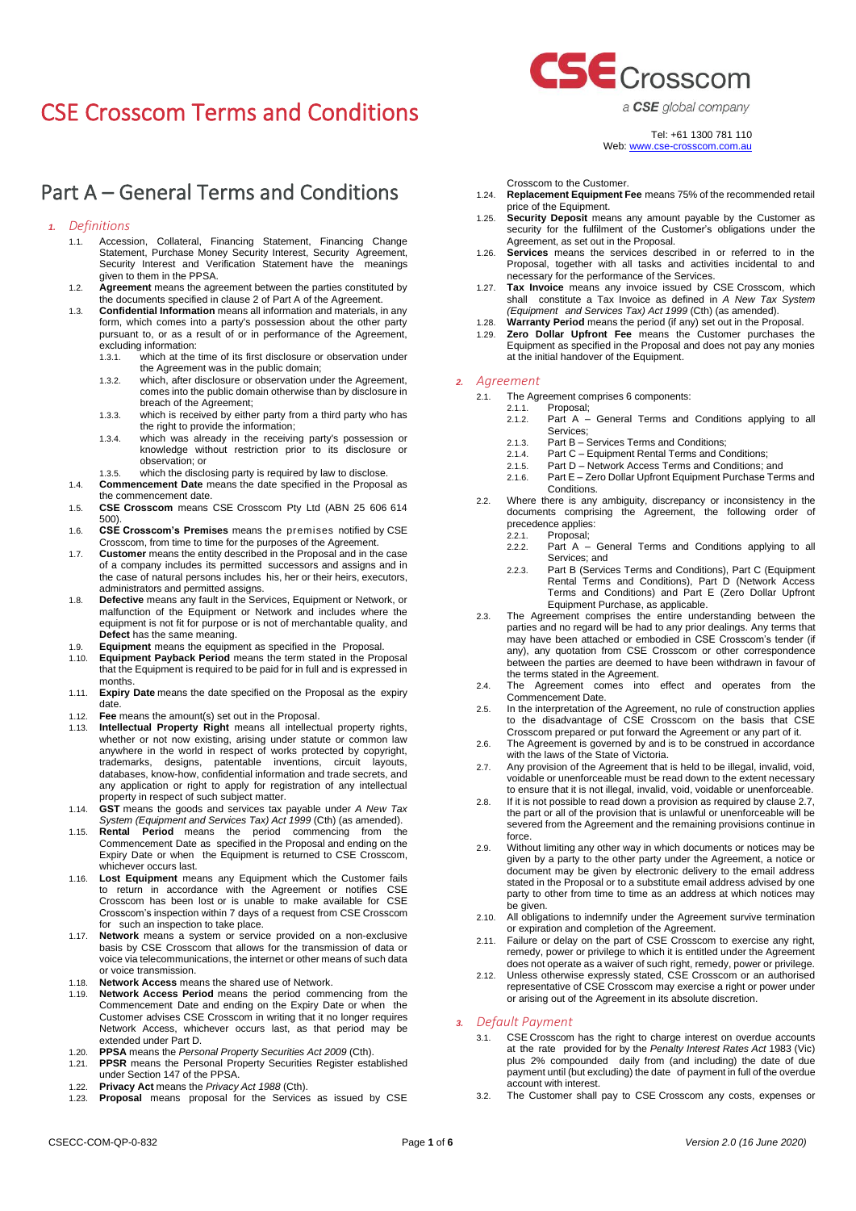# Part A – General Terms and Conditions

#### *1. Definitions*

- 1.1. Accession, Collateral, Financing Statement, Financing Change Statement, Purchase Money Security Interest, Security Agreement, Security Interest and Verification Statement have the meanings given to them in the PPSA.
- 1.2. **Agreement** means the agreement between the parties constituted by the documents specified in claus[e 2](#page-0-0) of Part A of the Agreement.
- 1.3. **Confidential Information** means all information and materials, in any form, which comes into a party's possession about the other party pursuant to, or as a result of or in performance of the Agreement, excluding information:
	- 1.3.1. which at the time of its first disclosure or observation under the Agreement was in the public domain;
	- 1.3.2. which, after disclosure or observation under the Agreement, comes into the public domain otherwise than by disclosure in breach of the Agreement;
	- 1.3.3. which is received by either party from a third party who has the right to provide the information;
	- 1.3.4. which was already in the receiving party's possession or knowledge without restriction prior to its disclosure or observation; or
	- 1.3.5. which the disclosing party is required by law to disclose.
- 1.4. **Commencement Date** means the date specified in the Proposal as the commencement date.
- 1.5. **CSE Crosscom** means CSE Crosscom Pty Ltd (ABN 25 606 614 500).
- 1.6. **CSE Crosscom's Premises** means the premises notified by CSE Crosscom, from time to time for the purposes of the Agreement.
- 1.7. **Customer** means the entity described in the Proposal and in the case of a company includes its permitted successors and assigns and in the case of natural persons includes his, her or their heirs, executors, administrators and permitted assigns.
- 1.8. **Defective** means any fault in the Services, Equipment or Network, or malfunction of the Equipment or Network and includes where the equipment is not fit for purpose or is not of merchantable quality, and **Defect** has the same meaning.
- 1.9. **Equipment** means the equipment as specified in the Proposal.
- 1.10. **Equipment Payback Period** means the term stated in the Proposal that the Equipment is required to be paid for in full and is expressed in months.
- 1.11. **Expiry Date** means the date specified on the Proposal as the expiry date.
- 1.12. **Fee** means the amount(s) set out in the Proposal.
- 1.13. **Intellectual Property Right** means all intellectual property rights, whether or not now existing, arising under statute or common law anywhere in the world in respect of works protected by copyright, trademarks, designs, patentable inventions, circuit layouts, databases, know-how, confidential information and trade secrets, and any application or right to apply for registration of any intellectual property in respect of such subject matter.
- 1.14. **GST** means the goods and services tax payable under *A New Tax System (Equipment and Services Tax) Act 1999* (Cth) (as amended).
- 1.15. **Rental Period** means the period commencing from the Commencement Date as specified in the Proposal and ending on the Expiry Date or when the Equipment is returned to CSE Crosscom, whichever occurs last.
- 1.16. **Lost Equipment** means any Equipment which the Customer fails to return in accordance with the Agreement or notifies CSE Crosscom has been lost or is unable to make available for CSE Crosscom's inspection within 7 days of a request from CSE Crosscom for such an inspection to take place.
- 1.17. **Network** means a system or service provided on a non-exclusive basis by CSE Crosscom that allows for the transmission of data or voice via telecommunications, the internet or other means of such data or voice transmission.
- 1.18. **Network Access** means the shared use of Network.
- 1.19. **Network Access Period** means the period commencing from the Commencement Date and ending on the Expiry Date or when the Customer advises CSE Crosscom in writing that it no longer requires Network Access, whichever occurs last, as that period may be extended under Part D.
- 1.20. **PPSA** means the *Personal Property Securities Act 2009* (Cth).
- 1.21. **PPSR** means the Personal Property Securities Register established under Section 147 of the PPSA.
- 1.22. **Privacy Act** means the *Privacy Act 1988* (Cth).
- 1.23. **Proposal** means proposal for the Services as issued by CSE



a CSE global company

# Tel: +61 1300 781 110 Web[: www.cse-crosscom.com.au](http://www.cse-crosscom.com.au/)

Crosscom to the Customer.

- 1.24. **Replacement Equipment Fee** means 75% of the recommended retail price of the Equipment.
- 1.25. **Security Deposit** means any amount payable by the Customer as security for the fulfilment of the Customer's obligations under the Agreement, as set out in the Proposal.
- 1.26. **Services** means the services described in or referred to in the Proposal, together with all tasks and activities incidental to and necessary for the performance of the Services.
- 1.27. **Tax Invoice** means any invoice issued by CSE Crosscom, which shall constitute a Tax Invoice as defined in *A New Tax System (Equipment and Services Tax) Act 1999* (Cth) (as amended).
- 1.28. **Warranty Period** means the period (if any) set out in the Proposal.
- 1.29. **Zero Dollar Upfront Fee** means the Customer purchases the Equipment as specified in the Proposal and does not pay any monies at the initial handover of the Equipment.

#### <span id="page-0-0"></span>*2. Agreement*

- 2.1. The Agreement comprises 6 components:<br>2.1.1 Proposal:
	- 2.1.1. Proposal;<br>2.1.2. Part A -
	- Part A General Terms and Conditions applying to all Services;
	- 2.1.3. Part B Services Terms and Conditions;
	- 2.1.4. Part C Equipment Rental Terms and Conditions;
	- 2.1.5. Part D Network Access Terms and Conditions; and
	- 2.1.6. Part E Zero Dollar Upfront Equipment Purchase Terms and Conditions.
- 2.2. Where there is any ambiguity, discrepancy or inconsistency in the documents comprising the Agreement, the following order of precedence applies:
	- 2.2.1. Proposal;
	- 2.2.2. Part A General Terms and Conditions applying to all Services; and
	- 2.2.3. Part B (Services Terms and Conditions), Part C (Equipment Rental Terms and Conditions), Part D (Network Access Terms and Conditions) and Part E (Zero Dollar Upfront Equipment Purchase, as applicable.
- 2.3. The Agreement comprises the entire understanding between the parties and no regard will be had to any prior dealings. Any terms that may have been attached or embodied in CSE Crosscom's tender (if any), any quotation from CSE Crosscom or other correspondence between the parties are deemed to have been withdrawn in favour of the terms stated in the Agreement.
- 2.4. The Agreement comes into effect and operates from the Commencement Date.
- 2.5. In the interpretation of the Agreement, no rule of construction applies to the disadvantage of CSE Crosscom on the basis that CSE Crosscom prepared or put forward the Agreement or any part of it.
- 2.6. The Agreement is governed by and is to be construed in accordance with the laws of the State of Victoria.
- <span id="page-0-1"></span>2.7. Any provision of the Agreement that is held to be illegal, invalid, void, voidable or unenforceable must be read down to the extent necessary to ensure that it is not illegal, invalid, void, voidable or unenforceable.
- 2.8. If it is not possible to read down a provision as required by claus[e 2.7,](#page-0-1) the part or all of the provision that is unlawful or unenforceable will be severed from the Agreement and the remaining provisions continue in force.
- 2.9. Without limiting any other way in which documents or notices may be given by a party to the other party under the Agreement, a notice or document may be given by electronic delivery to the email address stated in the Proposal or to a substitute email address advised by one party to other from time to time as an address at which notices may be given.
- 2.10. All obligations to indemnify under the Agreement survive termination or expiration and completion of the Agreement.
- 2.11. Failure or delay on the part of CSE Crosscom to exercise any right, remedy, power or privilege to which it is entitled under the Agreement does not operate as a waiver of such right, remedy, power or privilege.
- 2.12. Unless otherwise expressly stated, CSE Crosscom or an authorised representative of CSE Crosscom may exercise a right or power under or arising out of the Agreement in its absolute discretion.

#### *3. Default Payment*

- 3.1. CSE Crosscom has the right to charge interest on overdue accounts at the rate provided for by the *Penalty Interest Rates Act* 1983 (Vic) plus 2% compounded daily from (and including) the date of due payment until (but excluding) the date of payment in full of the overdue account with interest.
- 3.2. The Customer shall pay to CSE Crosscom any costs, expenses or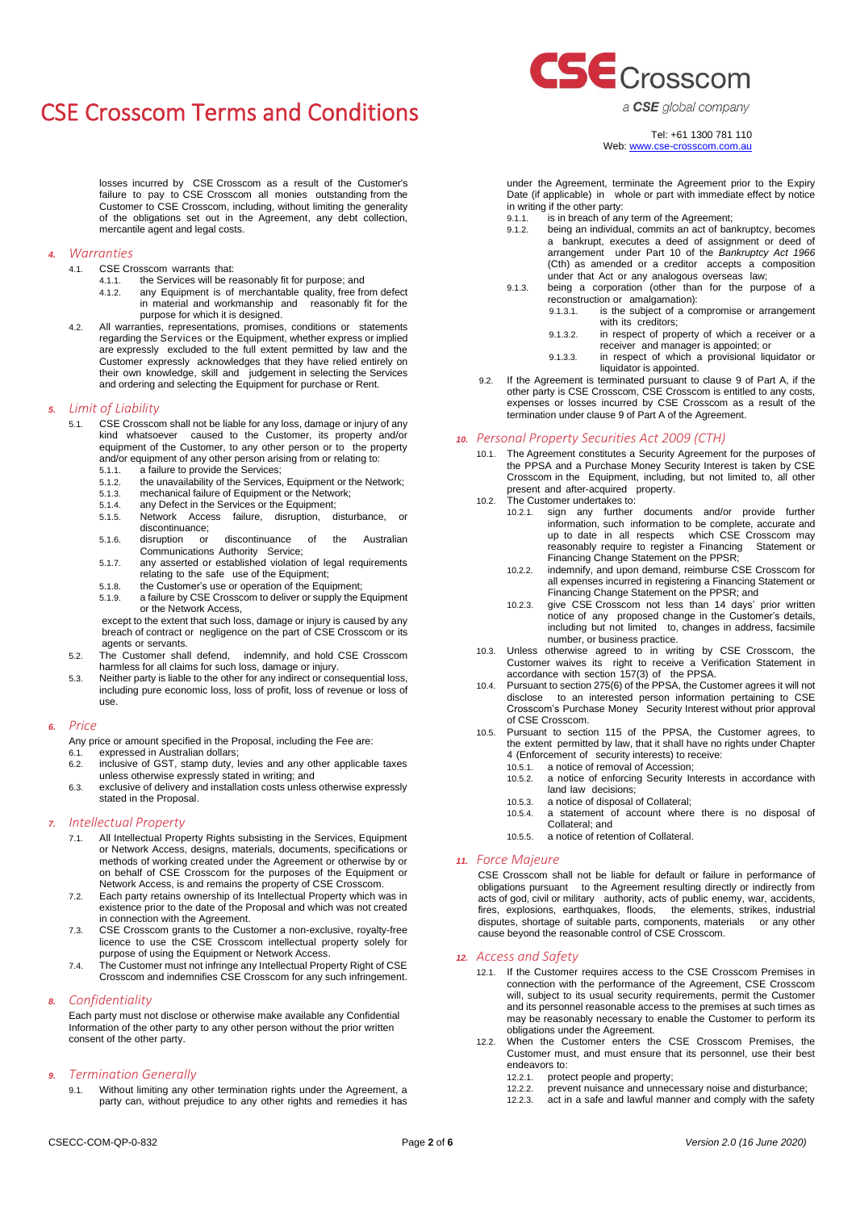losses incurred by CSE Crosscom as a result of the Customer's failure to pay to CSE Crosscom all monies outstanding from the Customer to CSE Crosscom, including, without limiting the generality of the obligations set out in the Agreement, any debt collection, mercantile agent and legal costs.

## *4. Warranties*

- 4.1. CSE Crosscom warrants that:
	- 4.1.1. the Services will be reasonably fit for purpose; and
	- 4.1.2. any Equipment is of merchantable quality, free from defect in material and workmanship and reasonably fit for the purpose for which it is designed.
- 4.2. All warranties, representations, promises, conditions or statements regarding the Services or the Equipment, whether express or implied are expressly excluded to the full extent permitted by law and the Customer expressly acknowledges that they have relied entirely on their own knowledge, skill and judgement in selecting the Services and ordering and selecting the Equipment for purchase or Rent.

#### *5. Limit of Liability*

- 5.1. CSE Crosscom shall not be liable for any loss, damage or injury of any kind whatsoever caused to the Customer, its property and/or equipment of the Customer, to any other person or to the property and/or equipment of any other person arising from or relating to:
	- 5.1.1. a failure to provide the Services;<br>5.1.2. the unavailability of the Services. 5.1.2. the unavailability of the Services, Equipment or the Network;
	-
	- 5.1.3. mechanical failure of Equipment or the Network;<br>5.1.4 any Defect in the Services or the Equipment:
	- 5.1.4. any Defect in the Services or the Equipment;<br>5.1.5. Network Access failure, disruption, disturbance, or Network Access failure, disruption,
	- discontinuance;<br>disruption or 5.1.6. disruption or discontinuance of the Australian Communications Authority Service;
	- 5.1.7. any asserted or established violation of legal requirements relating to the safe use of the Equipment;
	-
	- 5.1.8. the Customer's use or operation of the Equipment;<br>5.1.9. a failure by CSE Crosscom to deliver or supply the B a failure by CSE Crosscom to deliver or supply the Equipment or the Network Access,

except to the extent that such loss, damage or injury is caused by any breach of contract or negligence on the part of CSE Crosscom or its agents or servants.

- 5.2. The Customer shall defend, indemnify, and hold CSE Crosscom harmless for all claims for such loss, damage or injury.
- 5.3. Neither party is liable to the other for any indirect or consequential loss, including pure economic loss, loss of profit, loss of revenue or loss of use.

#### *6. Price*

Any price or amount specified in the Proposal, including the Fee are:

- 6.1. expressed in Australian dollars; 6.2. inclusive of GST, stamp duty, levies and any other applicable taxes
- unless otherwise expressly stated in writing; and 6.3. exclusive of delivery and installation costs unless otherwise expressly
- stated in the Proposal.

# *7. Intellectual Property*

- 7.1. All Intellectual Property Rights subsisting in the Services, Equipment or Network Access, designs, materials, documents, specifications or methods of working created under the Agreement or otherwise by or on behalf of CSE Crosscom for the purposes of the Equipment or Network Access, is and remains the property of CSE Crosscom.
- 7.2. Each party retains ownership of its Intellectual Property which was in existence prior to the date of the Proposal and which was not created in connection with the Agreement.
- 7.3. CSE Crosscom grants to the Customer a non-exclusive, royalty-free licence to use the CSE Crosscom intellectual property solely for purpose of using the Equipment or Network Access.
- 7.4. The Customer must not infringe any Intellectual Property Right of CSE Crosscom and indemnifies CSE Crosscom for any such infringement.

# *8. Confidentiality*

Each party must not disclose or otherwise make available any Confidential Information of the other party to any other person without the prior written consent of the other party.

### <span id="page-1-0"></span>*9. Termination Generally*

Without limiting any other termination rights under the Agreement, a party can, without prejudice to any other rights and remedies it has



a CSE global company

Tel: +61 1300 781 110 Web[: www.cse-crosscom.com.au](http://www.cse-crosscom.com.au/) 

under the Agreement, terminate the Agreement prior to the Expiry Date (if applicable) in whole or part with immediate effect by notice in writing if the other party:

- 9.1.1. is in breach of any term of the Agreement;<br>9.1.2. being an individual. commits an act of bar
- being an individual, commits an act of bankruptcy, becomes a bankrupt, executes a deed of assignment or deed of arrangement under Part 10 of the *Bankruptcy Act 1966* (Cth) as amended or a creditor accepts a composition under that Act or any analogous overseas law;
- 9.1.3. being a corporation (other than for the purpose of a reconstruction or amalgamation):<br>9.1.3.1. is the subject of a co
	- is the subject of a compromise or arrangement with its creditors;
	- 9.1.3.2. in respect of property of which a receiver or a receiver and manager is appointed; or
	- 9.1.3.3. in respect of which a provisional liquidator or liquidator is appointed.
- 9.2. If the Agreement is terminated pursuant to claus[e 9](#page-1-0) of Part A, if the other party is CSE Crosscom, CSE Crosscom is entitled to any costs, expenses or losses incurred by CSE Crosscom as a result of the termination under claus[e 9](#page-1-0) of Part A of the Agreement.

### *10. Personal Property Securities Act 2009 (CTH)*

- 10.1. The Agreement constitutes a Security Agreement for the purposes of the PPSA and a Purchase Money Security Interest is taken by CSE Crosscom in the Equipment, including, but not limited to, all other present and after-acquired property.
- 10.2. The Customer undertakes to:
	- 10.2.1. sign any further documents and/or provide further information, such information to be complete, accurate and up to date in all respects which CSE Crosscom may reasonably require to register a Financing Statement or Financing Change Statement on the PPSR;
	- 10.2.2. indemnify, and upon demand, reimburse CSE Crosscom for all expenses incurred in registering a Financing Statement or Financing Change Statement on the PPSR; and
	- 10.2.3. give CSE Crosscom not less than 14 days' prior written notice of any proposed change in the Customer's details, including but not limited to, changes in address, facsimile number, or business practice.
- 10.3. Unless otherwise agreed to in writing by CSE Crosscom, the Customer waives its right to receive a Verification Statement in accordance with section 157(3) of the PPSA.
- 10.4. Pursuant to section 275(6) of the PPSA, the Customer agrees it will not disclose to an interested person information pertaining to CSE Crosscom's Purchase Money Security Interest without prior approval of CSE Crosscom.
- 10.5. Pursuant to section 115 of the PPSA, the Customer agrees, to the extent permitted by law, that it shall have no rights under Chapter 4 (Enforcement of security interests) to receive:<br>10.5.1 a notice of removal of Accession:
	- 10.5.1. a notice of removal of Accession;<br>10.5.2. a notice of enforcing Security In
	- a notice of enforcing Security Interests in accordance with land law decisions;
	- 10.5.3. a notice of disposal of Collateral;
	- 10.5.4. a statement of account where there is no disposal of Collateral; and
	- 10.5.5. a notice of retention of Collateral.

#### *11. Force Majeure*

CSE Crosscom shall not be liable for default or failure in performance of obligations pursuant to the Agreement resulting directly or indirectly from acts of god, civil or military authority, acts of public enemy, war, accidents, fires, explosions, earthquakes, floods, the elements, strikes, industrial disputes, shortage of suitable parts, components, materials or any other cause beyond the reasonable control of CSE Crosscom.

### *12. Access and Safety*

- 12.1. If the Customer requires access to the CSE Crosscom Premises in connection with the performance of the Agreement, CSE Crosscom will, subject to its usual security requirements, permit the Customer and its personnel reasonable access to the premises at such times as may be reasonably necessary to enable the Customer to perform its obligations under the Agreement.
- 12.2. When the Customer enters the CSE Crosscom Premises, the Customer must, and must ensure that its personnel, use their best endeavors to:
	- 12.2.1. protect people and property;
	- 12.2.2. prevent nuisance and unnecessary noise and disturbance;
	- 12.2.3. act in a safe and lawful manner and comply with the safety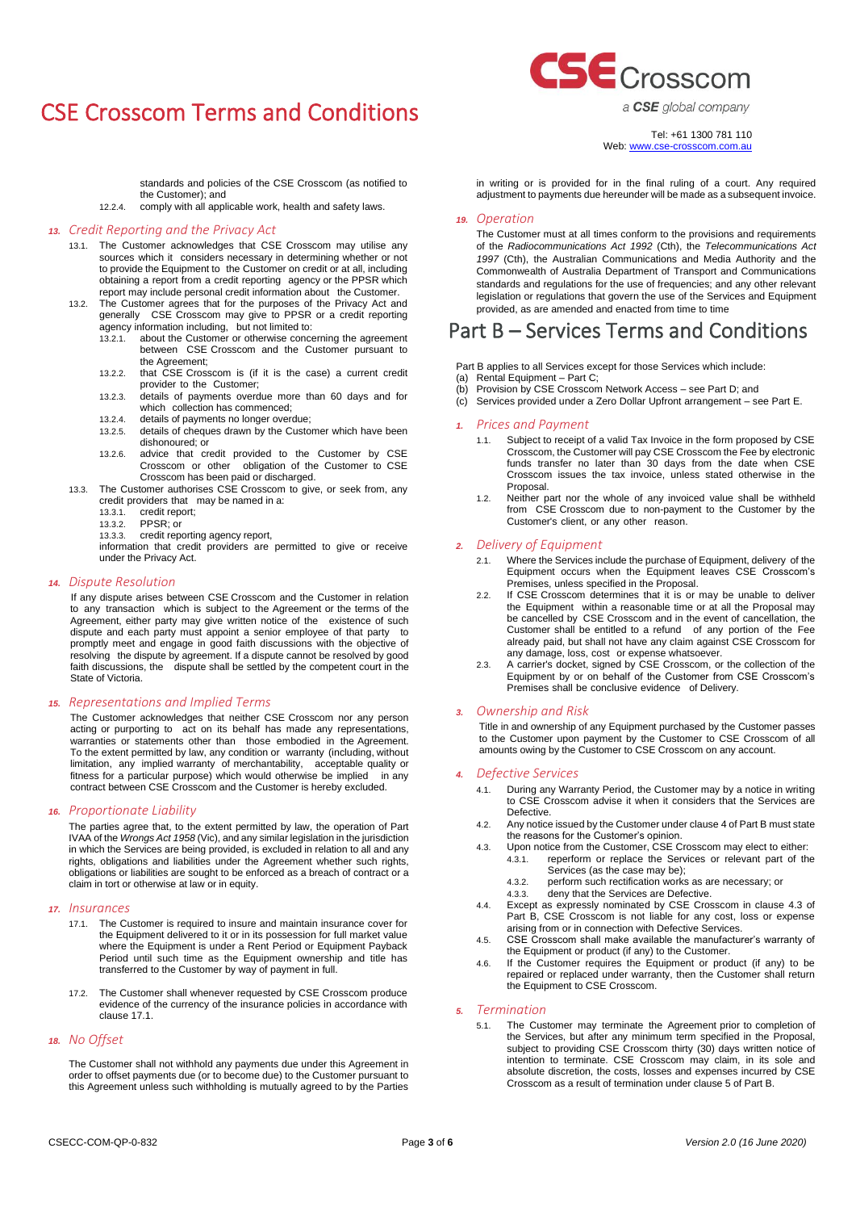standards and policies of the CSE Crosscom (as notified to the Customer); and

12.2.4. comply with all applicable work, health and safety laws.

#### *13. Credit Reporting and the Privacy Act*

- 13.1. The Customer acknowledges that CSE Crosscom may utilise any sources which it considers necessary in determining whether or not to provide the Equipment to the Customer on credit or at all, including obtaining a report from a credit reporting agency or the PPSR which report may include personal credit information about the Customer.
- 13.2. The Customer agrees that for the purposes of the Privacy Act and generally CSE Crosscom may give to PPSR or a credit reporting agency information including, but not limited to:
	- 13.2.1. about the Customer or otherwise concerning the agreement between CSE Crosscom and the Customer pursuant to the Agreement;
	- 13.2.2. that CSE Crosscom is (if it is the case) a current credit provider to the Customer;
	- 13.2.3. details of payments overdue more than 60 days and for which collection has commenced;
	- 13.2.4. details of payments no longer overdue;<br>13.2.5. details of cheques drawn by the Custo
	- details of cheques drawn by the Customer which have been dishonoured; or
	- 13.2.6. advice that credit provided to the Customer by CSE Crosscom or other obligation of the Customer to CSE Crosscom has been paid or discharged.
- 13.3. The Customer authorises CSE Crosscom to give, or seek from, any credit providers that may be named in a:<br>13.3.1. credit report;
	- credit report;
	- 13.3.2. PPSR; or
	- 13.3.3. credit reporting agency report,

information that credit providers are permitted to give or receive under the Privacy Act.

### *14. Dispute Resolution*

If any dispute arises between CSE Crosscom and the Customer in relation to any transaction which is subject to the Agreement or the terms of the Agreement, either party may give written notice of the existence of such dispute and each party must appoint a senior employee of that party to promptly meet and engage in good faith discussions with the objective of resolving the dispute by agreement. If a dispute cannot be resolved by good faith discussions, the dispute shall be settled by the competent court in the State of Victoria.

#### *15. Representations and Implied Terms*

The Customer acknowledges that neither CSE Crosscom nor any person acting or purporting to act on its behalf has made any representations, warranties or statements other than those embodied in the Agreement. To the extent permitted by law, any condition or warranty (including, without limitation, any implied warranty of merchantability, acceptable quality or fitness for a particular purpose) which would otherwise be implied in any contract between CSE Crosscom and the Customer is hereby excluded.

### *16. Proportionate Liability*

The parties agree that, to the extent permitted by law, the operation of Part IVAA of the *Wrongs Act 1958* (Vic), and any similar legislation in the jurisdiction in which the Services are being provided, is excluded in relation to all and any rights. obligations and liabilities under the Agreement whether such rights, obligations or liabilities are sought to be enforced as a breach of contract or a claim in tort or otherwise at law or in equity.

### *17. Insurances*

- 17.1. The Customer is required to insure and maintain insurance cover for the Equipment delivered to it or in its possession for full market value where the Equipment is under a Rent Period or Equipment Payback Period until such time as the Equipment ownership and title has transferred to the Customer by way of payment in full.
- 17.2. The Customer shall whenever requested by CSE Crosscom produce evidence of the currency of the insurance policies in accordance with clause 17.1.

#### *18. No Offset*

The Customer shall not withhold any payments due under this Agreement in order to offset payments due (or to become due) to the Customer pursuant to this Agreement unless such withholding is mutually agreed to by the Parties



a CSE global company

Tel: +61 1300 781 110 Web[: www.cse-crosscom.com.au](http://www.cse-crosscom.com.au/) 

in writing or is provided for in the final ruling of a court. Any required adjustment to payments due hereunder will be made as a subsequent invoice.

#### *19. Operation*

The Customer must at all times conform to the provisions and requirements of the *Radiocommunications Act 1992* (Cth), the *Telecommunications Act 1997* (Cth), the Australian Communications and Media Authority and the Commonwealth of Australia Department of Transport and Communications standards and regulations for the use of frequencies; and any other relevant legislation or regulations that govern the use of the Services and Equipment provided, as are amended and enacted from time to time

# Part B – Services Terms and Conditions

- Part B applies to all Services except for those Services which include:
- (a) Rental Equipment Part C;
- (b) Provision by CSE Crosscom Network Access see Part D; and
- (c) Services provided under a Zero Dollar Upfront arrangement see Part E.

### *1. Prices and Payment*

- 1.1. Subject to receipt of a valid Tax Invoice in the form proposed by CSE Crosscom, the Customer will pay CSE Crosscom the Fee by electronic funds transfer no later than 30 days from the date when CSE Crosscom issues the tax invoice, unless stated otherwise in the Proposal.
- 1.2. Neither part nor the whole of any invoiced value shall be withheld from CSE Crosscom due to non-payment to the Customer by the Customer's client, or any other reason.

#### *2. Delivery of Equipment*

- 2.1. Where the Services include the purchase of Equipment, delivery of the Equipment occurs when the Equipment leaves CSE Crosscom's Premises, unless specified in the Proposal.
- 2.2. If CSE Crosscom determines that it is or may be unable to deliver the Equipment within a reasonable time or at all the Proposal may be cancelled by CSE Crosscom and in the event of cancellation, the Customer shall be entitled to a refund of any portion of the Fee already paid, but shall not have any claim against CSE Crosscom for any damage, loss, cost or expense whatsoever.
- 2.3. A carrier's docket, signed by CSE Crosscom, or the collection of the Equipment by or on behalf of the Customer from CSE Crosscom's Premises shall be conclusive evidence of Delivery.

### *3. Ownership and Risk*

Title in and ownership of any Equipment purchased by the Customer passes to the Customer upon payment by the Customer to CSE Crosscom of all amounts owing by the Customer to CSE Crosscom on any account.

#### <span id="page-2-0"></span>*4. Defective Services*

- 4.1. During any Warranty Period, the Customer may by a notice in writing to CSE Crosscom advise it when it considers that the Services are Defective.
- 4.2. Any notice issued by the Customer under claus[e 4](#page-2-0) of Part B must state the reasons for the Customer's opinion.
- <span id="page-2-1"></span>4.3. Upon notice from the Customer, CSE Crosscom may elect to either:
	- 4.3.1. reperform or replace the Services or relevant part of the Services (as the case may be);
	- 4.3.2. perform such rectification works as are necessary; or
	- 4.3.3. deny that the Services are Defective.
- 4.4. Except as expressly nominated by CSE Crosscom in clause [4.3](#page-2-1) of Part B, CSE Crosscom is not liable for any cost, loss or expense arising from or in connection with Defective Services.
- 4.5. CSE Crosscom shall make available the manufacturer's warranty of the Equipment or product (if any) to the Customer.
- 4.6. If the Customer requires the Equipment or product (if any) to be repaired or replaced under warranty, then the Customer shall return the Equipment to CSE Crosscom.

#### <span id="page-2-2"></span>*5. Termination*

The Customer may terminate the Agreement prior to completion of the Services, but after any minimum term specified in the Proposal, subject to providing CSE Crosscom thirty (30) days written notice of intention to terminate. CSE Crosscom may claim, in its sole and absolute discretion, the costs, losses and expenses incurred by CSE Crosscom as a result of termination under claus[e 5](#page-2-2) of Part B.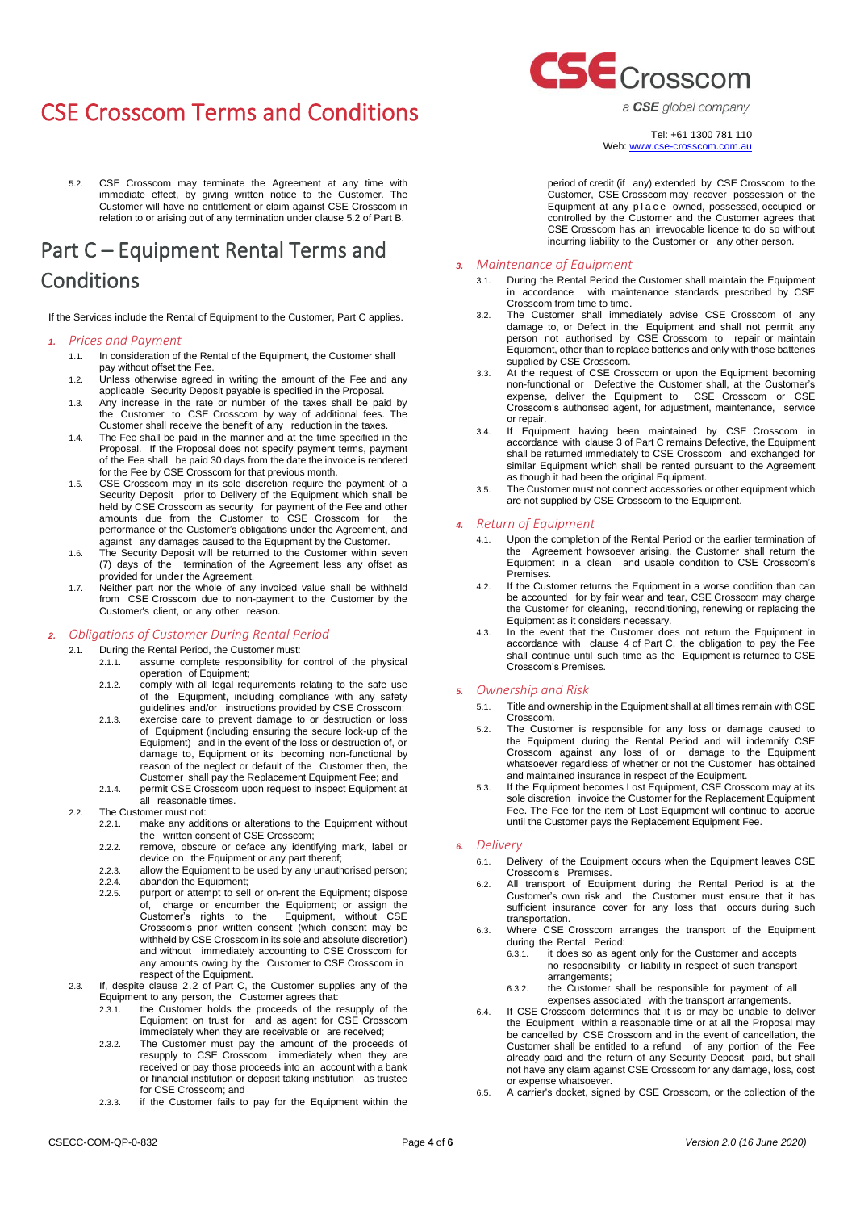<span id="page-3-0"></span>5.2. CSE Crosscom may terminate the Agreement at any time with immediate effect, by giving written notice to the Customer. The Customer will have no entitlement or claim against CSE Crosscom in relation to or arising out of any termination under claus[e 5.2](#page-3-0) of Part B.

# Part C – Equipment Rental Terms and **Conditions**

If the Services include the Rental of Equipment to the Customer, Part C applies.

# *1. Prices and Payment*

- 1.1. In consideration of the Rental of the Equipment, the Customer shall pay without offset the Fee.
- 1.2. Unless otherwise agreed in writing the amount of the Fee and any applicable Security Deposit payable is specified in the Proposal.
- 1.3. Any increase in the rate or number of the taxes shall be paid by the Customer to CSE Crosscom by way of additional fees. The Customer shall receive the benefit of any reduction in the taxes.
- 1.4. The Fee shall be paid in the manner and at the time specified in the Proposal. If the Proposal does not specify payment terms, payment of the Fee shall be paid 30 days from the date the invoice is rendered for the Fee by CSE Crosscom for that previous month.
- 1.5. CSE Crosscom may in its sole discretion require the payment of a Security Deposit prior to Delivery of the Equipment which shall be held by CSE Crosscom as security for payment of the Fee and other amounts due from the Customer to CSE Crosscom for the performance of the Customer's obligations under the Agreement, and against any damages caused to the Equipment by the Customer.
- 1.6. The Security Deposit will be returned to the Customer within seven (7) days of the termination of the Agreement less any offset as provided for under the Agreement.
- 1.7. Neither part nor the whole of any invoiced value shall be withheld from CSE Crosscom due to non-payment to the Customer by the Customer's client, or any other reason.

# *2. Obligations of Customer During Rental Period*

- 2.1. During the Rental Period, the Customer must:<br>2.1.1. assume complete responsibility for assume complete responsibility for control of the physical
	- operation of Equipment; 2.1.2. comply with all legal requirements relating to the safe use of the Equipment, including compliance with any safety
	- guidelines and/or instructions provided by CSE Crosscom; 2.1.3. exercise care to prevent damage to or destruction or loss of Equipment (including ensuring the secure lock-up of the Equipment) and in the event of the loss or destruction of, or damage to, Equipment or its becoming non-functional by reason of the neglect or default of the Customer then, the Customer shall pay the Replacement Equipment Fee; and
	- 2.1.4. permit CSE Crosscom upon request to inspect Equipment at all reasonable times.
- <span id="page-3-1"></span>2.2. The Customer must not:
	- 2.2.1. make any additions or alterations to the Equipment without the written consent of CSE Crosscom;
	- 2.2.2. remove, obscure or deface any identifying mark, label or device on the Equipment or any part thereof;
	- 2.2.3. allow the Equipment to be used by any unauthorised person; 2.2.4. abandon the Equipment;
	- 2.2.5. purport or attempt to sell or on-rent the Equipment; dispose of, charge or encumber the Equipment; or assign the Customer's rights to the Equipment, without CSE Crosscom's prior written consent (which consent may be withheld by CSE Crosscom in its sole and absolute discretion) and without immediately accounting to CSE Crosscom for any amounts owing by the Customer to CSE Crosscom in respect of the Equipment.
- 2.3. If, despite clause [2.2](#page-3-1) of Part C, the Customer supplies any of the Equipment to any person, the Customer agrees that:
	- the Customer holds the proceeds of the resupply of the Equipment on trust for and as agent for CSE Crosscom immediately when they are receivable or are received;
	- 2.3.2. The Customer must pay the amount of the proceeds of resupply to CSE Crosscom immediately when they are received or pay those proceeds into an account with a bank or financial institution or deposit taking institution as trustee for CSE Crosscom; and
	- 2.3.3. if the Customer fails to pay for the Equipment within the



a CSE global company

Tel: +61 1300 781 110 Web[: www.cse-crosscom.com.au](http://www.cse-crosscom.com.au/) 

period of credit (if any) extended by CSE Crosscom to the Customer, CSE Crosscom may recover possession of the Equipment at any place owned, possessed, occupied or controlled by the Customer and the Customer agrees that CSE Crosscom has an irrevocable licence to do so without incurring liability to the Customer or any other person.

# *3. Maintenance of Equipment*

- 3.1. During the Rental Period the Customer shall maintain the Equipment in accordance with maintenance standards prescribed by CSE Crosscom from time to time.
- 3.2. The Customer shall immediately advise CSE Crosscom of any damage to, or Defect in, the Equipment and shall not permit any person not authorised by CSE Crosscom to repair or maintain Equipment, other than to replace batteries and only with those batteries supplied by CSE Crosscom.
- 3.3. At the request of CSE Crosscom or upon the Equipment becoming non-functional or Defective the Customer shall, at the Customer's expense, deliver the Equipment to CSE Crosscom or CSE Crosscom's authorised agent, for adjustment, maintenance, service or repair.
- 3.4. If Equipment having been maintained by CSE Crosscom in accordance with clause 3 of Part C remains Defective, the Equipment shall be returned immediately to CSE Crosscom and exchanged for similar Equipment which shall be rented pursuant to the Agreement as though it had been the original Equipment.
- 3.5. The Customer must not connect accessories or other equipment which are not supplied by CSE Crosscom to the Equipment.

### <span id="page-3-2"></span>*4. Return of Equipment*

- Upon the completion of the Rental Period or the earlier termination of the Agreement howsoever arising, the Customer shall return the Equipment in a clean and usable condition to CSE Crosscom's Premises.
- 4.2. If the Customer returns the Equipment in a worse condition than can be accounted for by fair wear and tear, CSE Crosscom may charge the Customer for cleaning, reconditioning, renewing or replacing the Equipment as it considers necessary.
- 4.3. In the event that the Customer does not return the Equipment in accordance with clause [4](#page-3-2) [of Part C,](#page-3-2) the obligation to pay the Fee shall continue until such time as the Equipment is returned to CSE Crosscom's Premises.

# *5. Ownership and Risk*

- 5.1. Title and ownership in the Equipment shall at all times remain with CSE Crosscom.
- 5.2. The Customer is responsible for any loss or damage caused to the Equipment during the Rental Period and will indemnify CSE Crosscom against any loss of or damage to the Equipment whatsoever regardless of whether or not the Customer has obtained and maintained insurance in respect of the Equipment.
- 5.3. If the Equipment becomes Lost Equipment, CSE Crosscom may at its sole discretion invoice the Customer for the Replacement Equipment Fee. The Fee for the item of Lost Equipment will continue to accrue until the Customer pays the Replacement Equipment Fee.

### *6. Delivery*

- 6.1. Delivery of the Equipment occurs when the Equipment leaves CSE Crosscom's Premises.
- All transport of Equipment during the Rental Period is at the Customer's own risk and the Customer must ensure that it has sufficient insurance cover for any loss that occurs during such transportation.
- 6.3. Where CSE Crosscom arranges the transport of the Equipment during the Rental Period:
	- 6.3.1. it does so as agent only for the Customer and accepts no responsibility or liability in respect of such transport arrangements;
	- 6.3.2. the Customer shall be responsible for payment of all
	- expenses associated with the transport arrangements.
- 6.4. If CSE Crosscom determines that it is or may be unable to deliver the Equipment within a reasonable time or at all the Proposal may be cancelled by CSE Crosscom and in the event of cancellation, the Customer shall be entitled to a refund of any portion of the Fee already paid and the return of any Security Deposit paid, but shall not have any claim against CSE Crosscom for any damage, loss, cost or expense whatsoever.
- 6.5. A carrier's docket, signed by CSE Crosscom, or the collection of the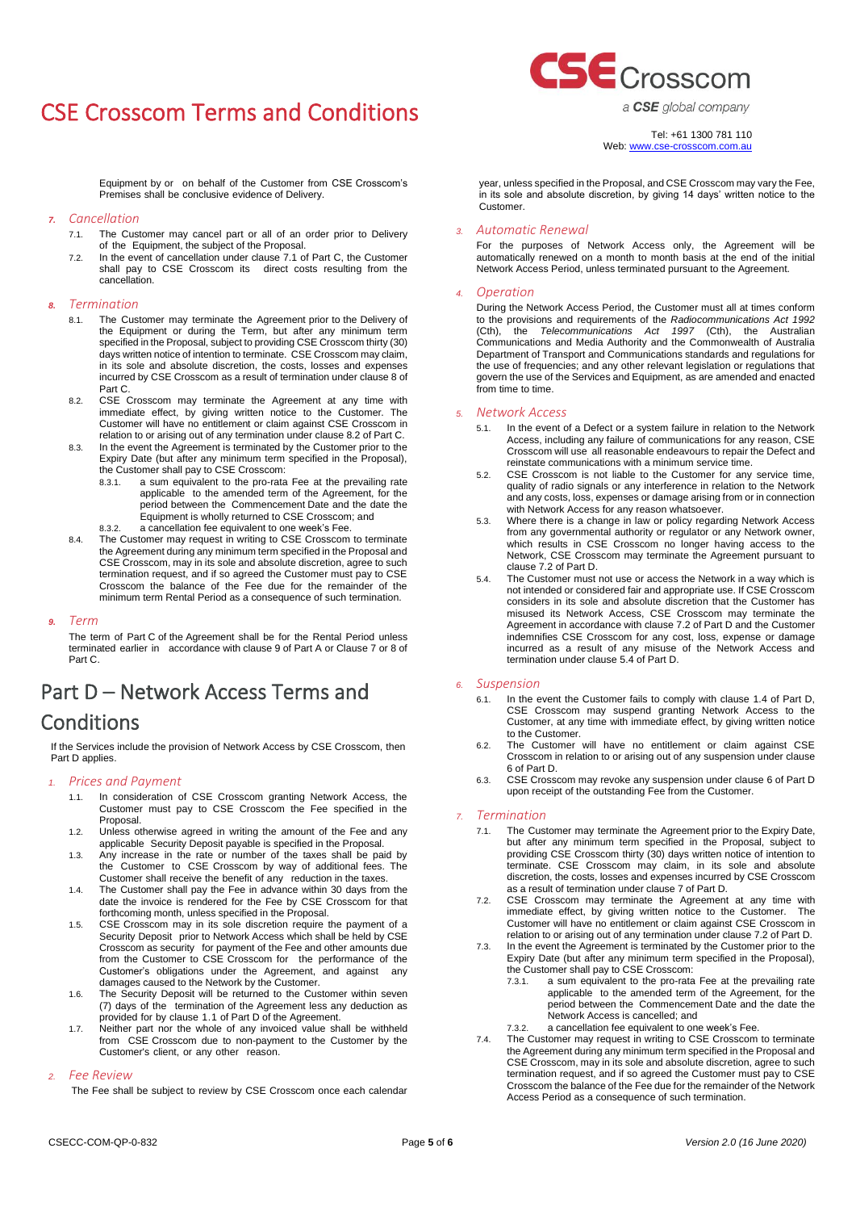

a CSE global company

Tel: +61 1300 781 110

Equipment by or on behalf of the Customer from CSE Crosscom's Premises shall be conclusive evidence of Delivery.

- *7. Cancellation*
	- 7.1. The Customer may cancel part or all of an order prior to Delivery of the Equipment, the subject of the Proposal.
	- 7.2. In the event of cancellation under clause [7.1 of Part C,](#page-4-0) the Customer shall pay to CSE Crosscom its direct costs resulting from the cancellation.

#### <span id="page-4-1"></span>*8. Termination*

- 8.1. The Customer may terminate the Agreement prior to the Delivery of the Equipment or during the Term, but after any minimum term specified in the Proposal, subject to providing CSE Crosscom thirty (30) days written notice of intention to terminate. CSE Crosscom may claim, in its sole and absolute discretion, the costs, losses and expenses incurred by CSE Crosscom as a result of termination under claus[e 8](#page-4-1) of Part C.
- <span id="page-4-2"></span>8.2. CSE Crosscom may terminate the Agreement at any time with immediate effect, by giving written notice to the Customer. The Customer will have no entitlement or claim against CSE Crosscom in relation to or arising out of any termination under claus[e 8.2](#page-4-2) of Part C.
- 8.3. In the event the Agreement is terminated by the Customer prior to the Expiry Date (but after any minimum term specified in the Proposal), the Customer shall pay to CSE Crosscom:
	- 8.3.1. a sum equivalent to the pro-rata Fee at the prevailing rate applicable to the amended term of the Agreement, for the period between the Commencement Date and the date the Equipment is wholly returned to CSE Crosscom; and
	- 8.3.2. a cancellation fee equivalent to one week's Fee.
- 8.4. The Customer may request in writing to CSE Crosscom to terminate the Agreement during any minimum term specified in the Proposal and CSE Crosscom, may in its sole and absolute discretion, agree to such termination request, and if so agreed the Customer must pay to CSE Crosscom the balance of the Fee due for the remainder of the minimum term Rental Period as a consequence of such termination.

#### *9. Term*

The term of Part C of the Agreement shall be for the Rental Period unless terminated earlier in accordance with clause 9 of Part A or Clause 7 or 8 of Part C.

# Part D – Network Access Terms and **Conditions**

If the Services include the provision of Network Access by CSE Crosscom, then Part D applies.

#### *1. Prices and Payment*

- 1.1. In consideration of CSE Crosscom granting Network Access, the Customer must pay to CSE Crosscom the Fee specified in the Proposal.
- 1.2. Unless otherwise agreed in writing the amount of the Fee and any applicable Security Deposit payable is specified in the Proposal.
- 1.3. Any increase in the rate or number of the taxes shall be paid by the Customer to CSE Crosscom by way of additional fees. The Customer shall receive the benefit of any reduction in the taxes.
- <span id="page-4-6"></span>1.4. The Customer shall pay the Fee in advance within 30 days from the date the invoice is rendered for the Fee by CSE Crosscom for that forthcoming month, unless specified in the Proposal.
- <span id="page-4-3"></span>1.5. CSE Crosscom may in its sole discretion require the payment of a Security Deposit prior to Network Access which shall be held by CSE Crosscom as security for payment of the Fee and other amounts due from the Customer to CSE Crosscom for the performance of the Customer's obligations under the Agreement, and against any damages caused to the Network by the Customer.
- 1.6. The Security Deposit will be returned to the Customer within seven (7) days of the termination of the Agreement less any deduction as provided for by clause [1.1](#page-4-3) of Part D of the Agreement.
- 1.7. Neither part nor the whole of any invoiced value shall be withheld from CSE Crosscom due to non-payment to the Customer by the Customer's client, or any other reason.

## *2. Fee Review*

The Fee shall be subject to review by CSE Crosscom once each calendar

# Web[: www.cse-crosscom.com.au](http://www.cse-crosscom.com.au/)

year, unless specified in the Proposal, and CSE Crosscom may vary the Fee, in its sole and absolute discretion, by giving 14 days' written notice to the Customer.

#### <span id="page-4-0"></span>*3. Automatic Renewal*

For the purposes of Network Access only, the Agreement will be automatically renewed on a month to month basis at the end of the initial Network Access Period, unless terminated pursuant to the Agreement.

#### *4. Operation*

During the Network Access Period, the Customer must all at times conform to the provisions and requirements of the *Radiocommunications Act 1992*  (Cth), the *Telecommunications Act 1997* (Cth), the Australian Communications and Media Authority and the Commonwealth of Australia Department of Transport and Communications standards and regulations for the use of frequencies; and any other relevant legislation or regulations that govern the use of the Services and Equipment, as are amended and enacted from time to time.

# *5. Network Access*

- In the event of a Defect or a system failure in relation to the Network Access, including any failure of communications for any reason, CSE Crosscom will use all reasonable endeavours to repair the Defect and reinstate communications with a minimum service time.
- 5.2. CSE Crosscom is not liable to the Customer for any service time, quality of radio signals or any interference in relation to the Network and any costs, loss, expenses or damage arising from or in connection with Network Access for any reason whatsoever.
- 5.3. Where there is a change in law or policy regarding Network Access from any governmental authority or regulator or any Network owner, which results in CSE Crosscom no longer having access to the Network, CSE Crosscom may terminate the Agreement pursuant to clause [7.2](#page-4-4) of Part D.
- <span id="page-4-5"></span>5.4. The Customer must not use or access the Network in a way which is not intended or considered fair and appropriate use. If CSE Crosscom considers in its sole and absolute discretion that the Customer has misused its Network Access, CSE Crosscom may terminate the Agreement in accordance with claus[e 7.2](#page-4-4) of Part D and the Customer indemnifies CSE Crosscom for any cost, loss, expense or damage incurred as a result of any misuse of the Network Access and termination under claus[e 5.4](#page-4-5) of Part D.

#### <span id="page-4-7"></span>*6. Suspension*

- 6.1. In the event the Customer fails to comply with clause [1.4](#page-4-6) of Part D, CSE Crosscom may suspend granting Network Access to the Customer, at any time with immediate effect, by giving written notice to the Customer.
- 6.2. The Customer will have no entitlement or claim against CSE Crosscom in relation to or arising out of any suspension under clause [6](#page-4-7) of Part D.
- 6.3. CSE Crosscom may revoke any suspension under claus[e 6](#page-4-7) of Part D upon receipt of the outstanding Fee from the Customer.

## <span id="page-4-8"></span>*7. Termination*

- The Customer may terminate the Agreement prior to the Expiry Date, but after any minimum term specified in the Proposal, subject to providing CSE Crosscom thirty (30) days written notice of intention to terminate. CSE Crosscom may claim, in its sole and absolute discretion, the costs, losses and expenses incurred by CSE Crosscom as a result of termination under claus[e 7](#page-4-8) of Part D.
- <span id="page-4-4"></span>7.2. CSE Crosscom may terminate the Agreement at any time with immediate effect, by giving written notice to the Customer. The Customer will have no entitlement or claim against CSE Crosscom in relation to or arising out of any termination under claus[e 7.2](#page-4-4) of Part D.
- 7.3. In the event the Agreement is terminated by the Customer prior to the Expiry Date (but after any minimum term specified in the Proposal), the Customer shall pay to CSE Crosscom:<br>7.3.1 a sum equivalent to the pro-rata
	- a sum equivalent to the pro-rata Fee at the prevailing rate applicable to the amended term of the Agreement, for the period between the Commencement Date and the date the Network Access is cancelled; and 7.3.2. a cancellation fee equivalent to one week's Fee.
- 7.4. The Customer may request in writing to CSE Crosscom to terminate the Agreement during any minimum term specified in the Proposal and CSE Crosscom, may in its sole and absolute discretion, agree to such termination request, and if so agreed the Customer must pay to CSE Crosscom the balance of the Fee due for the remainder of the Network Access Period as a consequence of such termination.